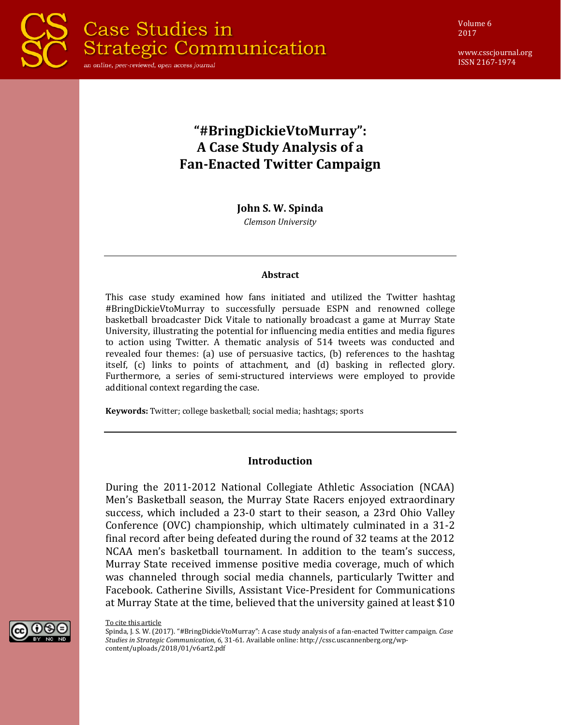

Volume 6 2017

www.csscjournal.org ISSN 2167-1974

# **"#BringDickieVtoMurray": A Case Study Analysis of a Fan-Enacted Twitter Campaign**

**John S. W. Spinda**

*Clemson University*

#### **Abstract**

This case study examined how fans initiated and utilized the Twitter hashtag #BringDickieVtoMurray to successfully persuade ESPN and renowned college basketball broadcaster Dick Vitale to nationally broadcast a game at Murray State University, illustrating the potential for influencing media entities and media figures to action using Twitter. A thematic analysis of 514 tweets was conducted and revealed four themes: (a) use of persuasive tactics, (b) references to the hashtag itself, (c) links to points of attachment, and (d) basking in reflected glory. Furthermore, a series of semi-structured interviews were employed to provide additional context regarding the case.

**Keywords:** Twitter; college basketball; social media; hashtags; sports

#### **Introduction**

During the 2011-2012 National Collegiate Athletic Association (NCAA) Men's Basketball season, the Murray State Racers enjoyed extraordinary success, which included a 23-0 start to their season, a 23rd Ohio Valley Conference (OVC) championship, which ultimately culminated in a 31-2 final record after being defeated during the round of 32 teams at the 2012 NCAA men's basketball tournament. In addition to the team's success, Murray State received immense positive media coverage, much of which was channeled through social media channels, particularly Twitter and Facebook. Catherine Sivills, Assistant Vice-President for Communications at Murray State at the time, believed that the university gained at least \$10



To cite this article

Spinda, J. S. W. (2017). "#BringDickieVtoMurray": A case study analysis of a fan-enacted Twitter campaign. *Case Studies in Strategic Communication, 6*, 31-61. Available online: http://cssc.uscannenberg.org/wpcontent/uploads/2018/01/v6art2.pdf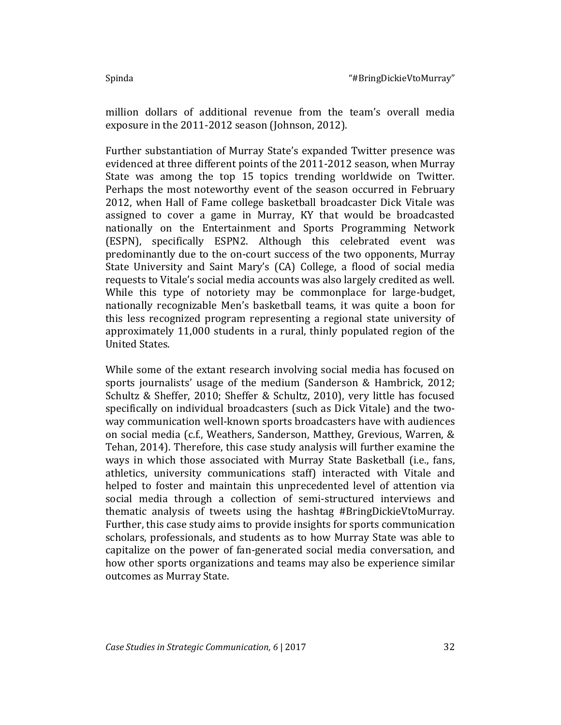million dollars of additional revenue from the team's overall media exposure in the 2011-2012 season (Johnson, 2012).

Further substantiation of Murray State's expanded Twitter presence was evidenced at three different points of the 2011-2012 season, when Murray State was among the top 15 topics trending worldwide on Twitter. Perhaps the most noteworthy event of the season occurred in February 2012, when Hall of Fame college basketball broadcaster Dick Vitale was assigned to cover a game in Murray, KY that would be broadcasted nationally on the Entertainment and Sports Programming Network (ESPN), specifically ESPN2. Although this celebrated event was predominantly due to the on-court success of the two opponents, Murray State University and Saint Mary's (CA) College, a flood of social media requests to Vitale's social media accounts was also largely credited as well. While this type of notoriety may be commonplace for large-budget, nationally recognizable Men's basketball teams, it was quite a boon for this less recognized program representing a regional state university of approximately 11,000 students in a rural, thinly populated region of the United States.

While some of the extant research involving social media has focused on sports journalists' usage of the medium (Sanderson & Hambrick, 2012; Schultz & Sheffer, 2010; Sheffer & Schultz, 2010), very little has focused specifically on individual broadcasters (such as Dick Vitale) and the twoway communication well-known sports broadcasters have with audiences on social media (c.f., Weathers, Sanderson, Matthey, Grevious, Warren, & Tehan, 2014). Therefore, this case study analysis will further examine the ways in which those associated with Murray State Basketball (i.e., fans, athletics, university communications staff) interacted with Vitale and helped to foster and maintain this unprecedented level of attention via social media through a collection of semi-structured interviews and thematic analysis of tweets using the hashtag #BringDickieVtoMurray. Further, this case study aims to provide insights for sports communication scholars, professionals, and students as to how Murray State was able to capitalize on the power of fan-generated social media conversation, and how other sports organizations and teams may also be experience similar outcomes as Murray State.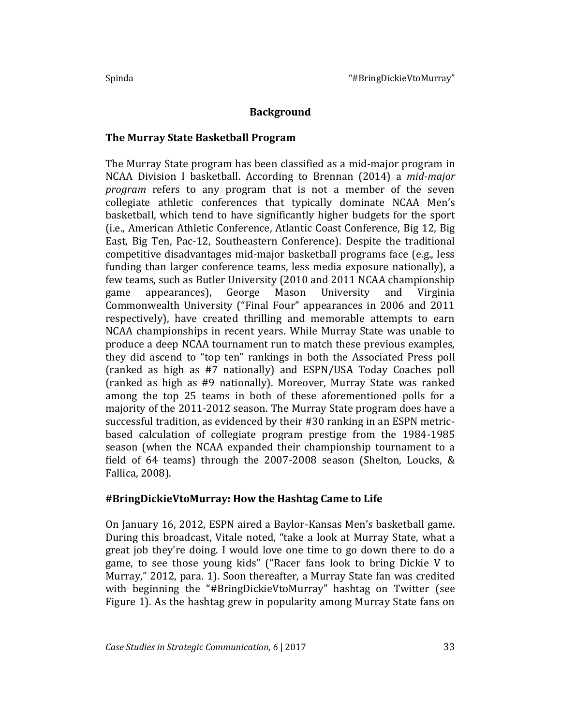## **Background**

#### **The Murray State Basketball Program**

The Murray State program has been classified as a mid-major program in NCAA Division I basketball. According to Brennan (2014) a *mid-major program* refers to any program that is not a member of the seven collegiate athletic conferences that typically dominate NCAA Men's basketball, which tend to have significantly higher budgets for the sport (i.e., American Athletic Conference, Atlantic Coast Conference, Big 12, Big East, Big Ten, Pac-12, Southeastern Conference). Despite the traditional competitive disadvantages mid-major basketball programs face (e.g., less funding than larger conference teams, less media exposure nationally), a few teams, such as Butler University (2010 and 2011 NCAA championship game appearances), George Mason University and Virginia Commonwealth University ("Final Four" appearances in 2006 and 2011 respectively), have created thrilling and memorable attempts to earn NCAA championships in recent years. While Murray State was unable to produce a deep NCAA tournament run to match these previous examples, they did ascend to "top ten" rankings in both the Associated Press poll (ranked as high as #7 nationally) and ESPN/USA Today Coaches poll (ranked as high as #9 nationally). Moreover, Murray State was ranked among the top 25 teams in both of these aforementioned polls for a majority of the 2011-2012 season. The Murray State program does have a successful tradition, as evidenced by their #30 ranking in an ESPN metricbased calculation of collegiate program prestige from the 1984-1985 season (when the NCAA expanded their championship tournament to a field of 64 teams) through the 2007-2008 season (Shelton, Loucks, & Fallica, 2008).

#### **#BringDickieVtoMurray: How the Hashtag Came to Life**

On January 16, 2012, ESPN aired a Baylor-Kansas Men's basketball game. During this broadcast, Vitale noted, "take a look at Murray State, what a great job they're doing. I would love one time to go down there to do a game, to see those young kids" ("Racer fans look to bring Dickie V to Murray," 2012, para. 1). Soon thereafter, a Murray State fan was credited with beginning the "#BringDickieVtoMurray" hashtag on Twitter (see Figure 1). As the hashtag grew in popularity among Murray State fans on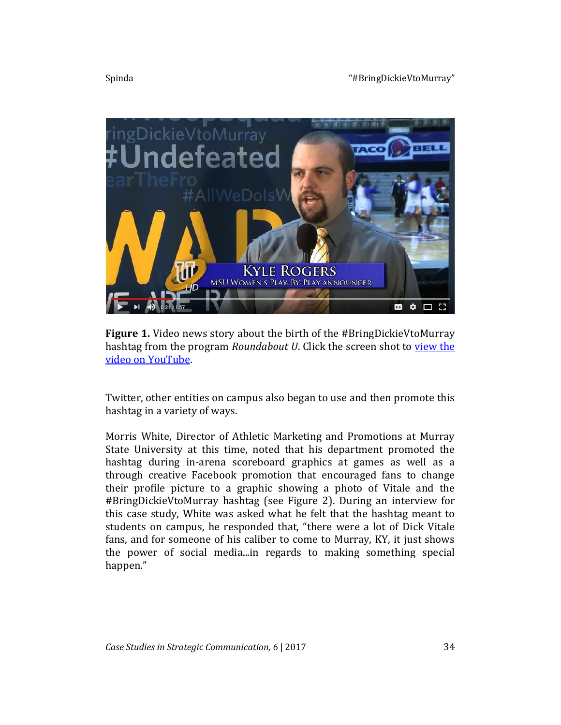

**Figure 1.** Video news story about the birth of the #BringDickieVtoMurray hashtag from the program *Roundabout U*. Click the screen shot to view the [video on YouTube.](https://www.youtube.com/watch?v=Tp5FnMheCAA)

Twitter, other entities on campus also began to use and then promote this hashtag in a variety of ways.

Morris White, Director of Athletic Marketing and Promotions at Murray State University at this time, noted that his department promoted the hashtag during in-arena scoreboard graphics at games as well as a through creative Facebook promotion that encouraged fans to change their profile picture to a graphic showing a photo of Vitale and the #BringDickieVtoMurray hashtag (see Figure 2). During an interview for this case study, White was asked what he felt that the hashtag meant to students on campus, he responded that, "there were a lot of Dick Vitale fans, and for someone of his caliber to come to Murray, KY, it just shows the power of social media...in regards to making something special happen."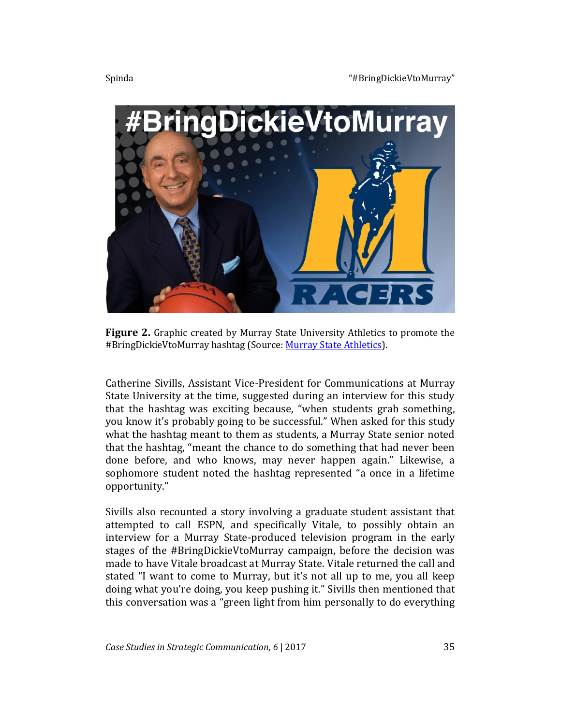

**Figure 2.** Graphic created by Murray State University Athletics to promote the #BringDickieVtoMurray hashtag (Source: [Murray State Athletics\)](http://www.goracers.com/news/2012/2/6/MBB_0206123711.aspx).

Catherine Sivills, Assistant Vice-President for Communications at Murray State University at the time, suggested during an interview for this study that the hashtag was exciting because, "when students grab something, you know it's probably going to be successful." When asked for this study what the hashtag meant to them as students, a Murray State senior noted that the hashtag, "meant the chance to do something that had never been done before, and who knows, may never happen again." Likewise, a sophomore student noted the hashtag represented "a once in a lifetime opportunity."

Sivills also recounted a story involving a graduate student assistant that attempted to call ESPN, and specifically Vitale, to possibly obtain an interview for a Murray State-produced television program in the early stages of the #BringDickieVtoMurray campaign, before the decision was made to have Vitale broadcast at Murray State. Vitale returned the call and stated "I want to come to Murray, but it's not all up to me, you all keep doing what you're doing, you keep pushing it." Sivills then mentioned that this conversation was a "green light from him personally to do everything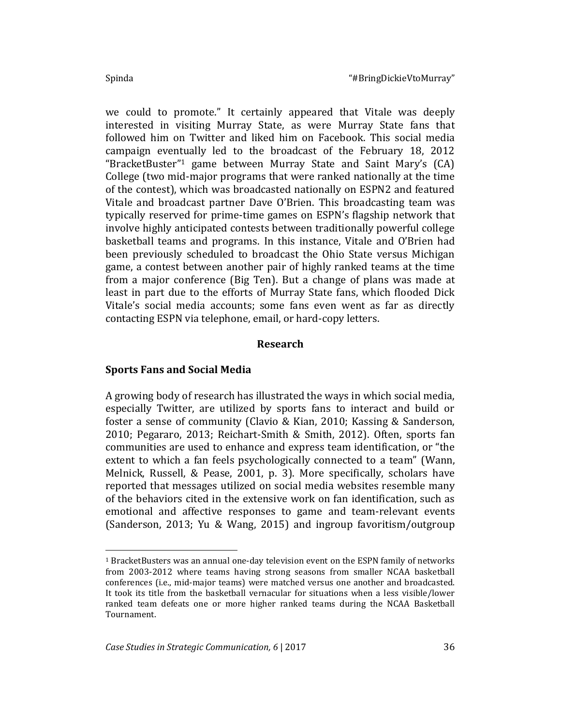$\overline{\phantom{a}}$ 

we could to promote." It certainly appeared that Vitale was deeply interested in visiting Murray State, as were Murray State fans that followed him on Twitter and liked him on Facebook. This social media campaign eventually led to the broadcast of the February 18, 2012 "BracketBuster"<sup>1</sup> game between Murray State and Saint Mary's (CA) College (two mid-major programs that were ranked nationally at the time of the contest), which was broadcasted nationally on ESPN2 and featured Vitale and broadcast partner Dave O'Brien. This broadcasting team was typically reserved for prime-time games on ESPN's flagship network that involve highly anticipated contests between traditionally powerful college basketball teams and programs. In this instance, Vitale and O'Brien had been previously scheduled to broadcast the Ohio State versus Michigan game, a contest between another pair of highly ranked teams at the time from a major conference (Big Ten). But a change of plans was made at least in part due to the efforts of Murray State fans, which flooded Dick Vitale's social media accounts; some fans even went as far as directly contacting ESPN via telephone, email, or hard-copy letters.

#### **Research**

#### **Sports Fans and Social Media**

A growing body of research has illustrated the ways in which social media, especially Twitter, are utilized by sports fans to interact and build or foster a sense of community (Clavio & Kian, 2010; Kassing & Sanderson, 2010; Pegararo, 2013; Reichart-Smith & Smith, 2012). Often, sports fan communities are used to enhance and express team identification, or "the extent to which a fan feels psychologically connected to a team" (Wann, Melnick, Russell, & Pease, 2001, p. 3). More specifically, scholars have reported that messages utilized on social media websites resemble many of the behaviors cited in the extensive work on fan identification, such as emotional and affective responses to game and team-relevant events (Sanderson, 2013; Yu & Wang, 2015) and ingroup favoritism/outgroup

<sup>1</sup> BracketBusters was an annual one-day television event on the ESPN family of networks from 2003-2012 where teams having strong seasons from smaller NCAA basketball conferences (i.e., mid-major teams) were matched versus one another and broadcasted. It took its title from the basketball vernacular for situations when a less visible/lower ranked team defeats one or more higher ranked teams during the NCAA Basketball Tournament.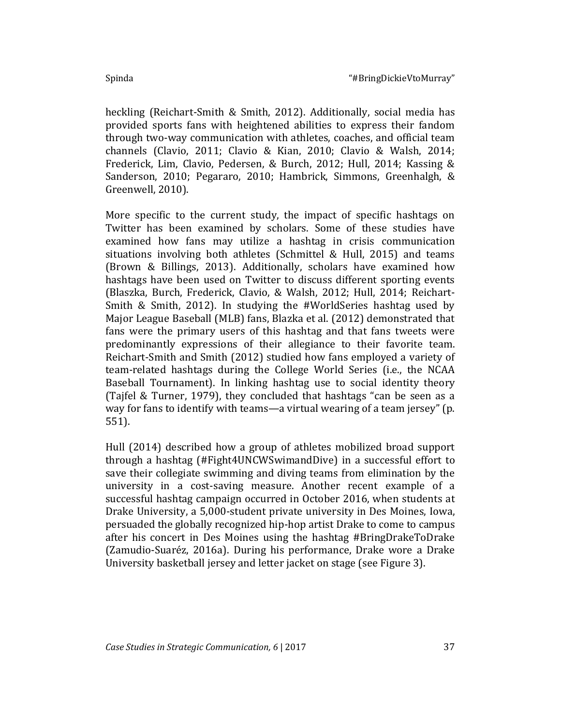heckling (Reichart-Smith & Smith, 2012). Additionally, social media has provided sports fans with heightened abilities to express their fandom through two-way communication with athletes, coaches, and official team channels (Clavio, 2011; Clavio & Kian, 2010; Clavio & Walsh, 2014; Frederick, Lim, Clavio, Pedersen, & Burch, 2012; Hull, 2014; Kassing & Sanderson, 2010; Pegararo, 2010; Hambrick, Simmons, Greenhalgh, & Greenwell, 2010).

More specific to the current study, the impact of specific hashtags on Twitter has been examined by scholars. Some of these studies have examined how fans may utilize a hashtag in crisis communication situations involving both athletes (Schmittel & Hull, 2015) and teams (Brown & Billings, 2013). Additionally, scholars have examined how hashtags have been used on Twitter to discuss different sporting events (Blaszka, Burch, Frederick, Clavio, & Walsh, 2012; Hull, 2014; Reichart-Smith & Smith, 2012). In studying the #WorldSeries hashtag used by Major League Baseball (MLB) fans, Blazka et al. (2012) demonstrated that fans were the primary users of this hashtag and that fans tweets were predominantly expressions of their allegiance to their favorite team. Reichart-Smith and Smith (2012) studied how fans employed a variety of team-related hashtags during the College World Series (i.e., the NCAA Baseball Tournament). In linking hashtag use to social identity theory (Tajfel & Turner, 1979), they concluded that hashtags "can be seen as a way for fans to identify with teams—a virtual wearing of a team jersey" (p. 551).

Hull (2014) described how a group of athletes mobilized broad support through a hashtag (#Fight4UNCWSwimandDive) in a successful effort to save their collegiate swimming and diving teams from elimination by the university in a cost-saving measure. Another recent example of a successful hashtag campaign occurred in October 2016, when students at Drake University, a 5,000-student private university in Des Moines, Iowa, persuaded the globally recognized hip-hop artist Drake to come to campus after his concert in Des Moines using the hashtag #BringDrakeToDrake (Zamudio-Suaréz, 2016a). During his performance, Drake wore a Drake University basketball jersey and letter jacket on stage (see Figure 3).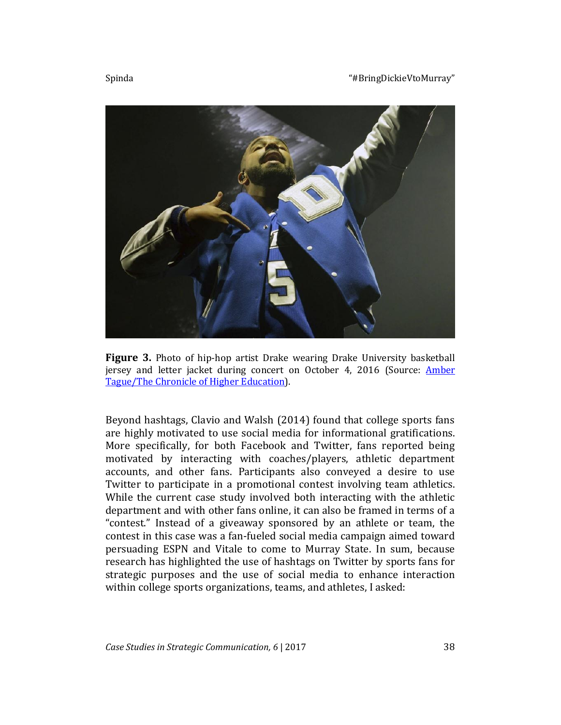#### Spinda The Spinda Theorem 2012 Spinda The Spinda Theorem 2013 Spinda The Spinda The Spinda The Spinda The Spinda The Spinda The Spinda The Spinda The Spinda The Spinda The Spinda The Spinda The Spinda The Spinda The Spinda





Figure 3. Photo of hip-hop artist Drake wearing Drake University basketball jersey and letter jacket during concert on October 4, 2016 (Source: [Amber](http://www.chronicle.com/article/How-One-University-Enticed-a/237998)  [Tague/The Chronicle of Higher Education\)](http://www.chronicle.com/article/How-One-University-Enticed-a/237998).

Beyond hashtags, Clavio and Walsh (2014) found that college sports fans are highly motivated to use social media for informational gratifications. More specifically, for both Facebook and Twitter, fans reported being motivated by interacting with coaches/players, athletic department accounts, and other fans. Participants also conveyed a desire to use Twitter to participate in a promotional contest involving team athletics. While the current case study involved both interacting with the athletic department and with other fans online, it can also be framed in terms of a "contest." Instead of a giveaway sponsored by an athlete or team, the contest in this case was a fan-fueled social media campaign aimed toward persuading ESPN and Vitale to come to Murray State. In sum, because research has highlighted the use of hashtags on Twitter by sports fans for strategic purposes and the use of social media to enhance interaction within college sports organizations, teams, and athletes, I asked: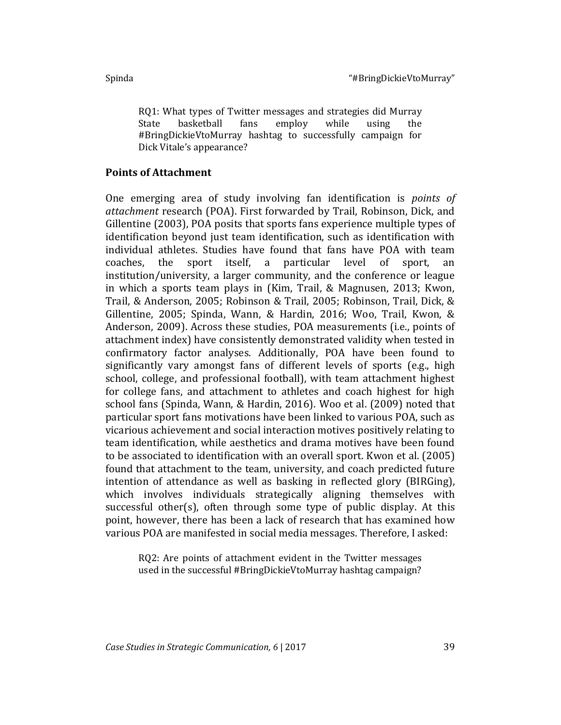RQ1: What types of Twitter messages and strategies did Murray State basketball fans employ while using the #BringDickieVtoMurray hashtag to successfully campaign for Dick Vitale's appearance?

#### **Points of Attachment**

One emerging area of study involving fan identification is *points of attachment* research (POA). First forwarded by Trail, Robinson, Dick, and Gillentine (2003), POA posits that sports fans experience multiple types of identification beyond just team identification, such as identification with individual athletes. Studies have found that fans have POA with team coaches, the sport itself, a particular level of sport, an institution/university, a larger community, and the conference or league in which a sports team plays in (Kim, Trail, & Magnusen, 2013; Kwon, Trail, & Anderson, 2005; Robinson & Trail, 2005; Robinson, Trail, Dick, & Gillentine, 2005; Spinda, Wann, & Hardin, 2016; Woo, Trail, Kwon, & Anderson, 2009). Across these studies, POA measurements (i.e., points of attachment index) have consistently demonstrated validity when tested in confirmatory factor analyses. Additionally, POA have been found to significantly vary amongst fans of different levels of sports (e.g., high school, college, and professional football), with team attachment highest for college fans, and attachment to athletes and coach highest for high school fans (Spinda, Wann, & Hardin, 2016). Woo et al. (2009) noted that particular sport fans motivations have been linked to various POA, such as vicarious achievement and social interaction motives positively relating to team identification, while aesthetics and drama motives have been found to be associated to identification with an overall sport. Kwon et al. (2005) found that attachment to the team, university, and coach predicted future intention of attendance as well as basking in reflected glory (BIRGing), which involves individuals strategically aligning themselves with successful other(s), often through some type of public display. At this point, however, there has been a lack of research that has examined how various POA are manifested in social media messages. Therefore, I asked:

RQ2: Are points of attachment evident in the Twitter messages used in the successful #BringDickieVtoMurray hashtag campaign?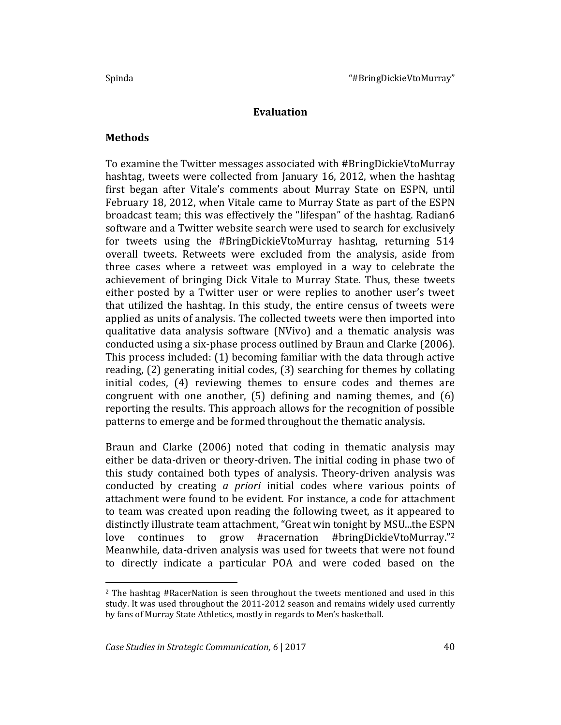#### **Evaluation**

#### **Methods**

l

To examine the Twitter messages associated with #BringDickieVtoMurray hashtag, tweets were collected from January 16, 2012, when the hashtag first began after Vitale's comments about Murray State on ESPN, until February 18, 2012, when Vitale came to Murray State as part of the ESPN broadcast team; this was effectively the "lifespan" of the hashtag. Radian6 software and a Twitter website search were used to search for exclusively for tweets using the #BringDickieVtoMurray hashtag, returning 514 overall tweets. Retweets were excluded from the analysis, aside from three cases where a retweet was employed in a way to celebrate the achievement of bringing Dick Vitale to Murray State. Thus, these tweets either posted by a Twitter user or were replies to another user's tweet that utilized the hashtag. In this study, the entire census of tweets were applied as units of analysis. The collected tweets were then imported into qualitative data analysis software (NVivo) and a thematic analysis was conducted using a six-phase process outlined by Braun and Clarke (2006). This process included: (1) becoming familiar with the data through active reading, (2) generating initial codes, (3) searching for themes by collating initial codes, (4) reviewing themes to ensure codes and themes are congruent with one another, (5) defining and naming themes, and (6) reporting the results. This approach allows for the recognition of possible patterns to emerge and be formed throughout the thematic analysis.

Braun and Clarke (2006) noted that coding in thematic analysis may either be data-driven or theory-driven. The initial coding in phase two of this study contained both types of analysis. Theory-driven analysis was conducted by creating *a priori* initial codes where various points of attachment were found to be evident. For instance, a code for attachment to team was created upon reading the following tweet, as it appeared to distinctly illustrate team attachment, "Great win tonight by MSU...the ESPN love continues to grow #racernation #bringDickieVtoMurray."<sup>2</sup> Meanwhile, data-driven analysis was used for tweets that were not found to directly indicate a particular POA and were coded based on the

<sup>2</sup> The hashtag #RacerNation is seen throughout the tweets mentioned and used in this study. It was used throughout the 2011-2012 season and remains widely used currently by fans of Murray State Athletics, mostly in regards to Men's basketball.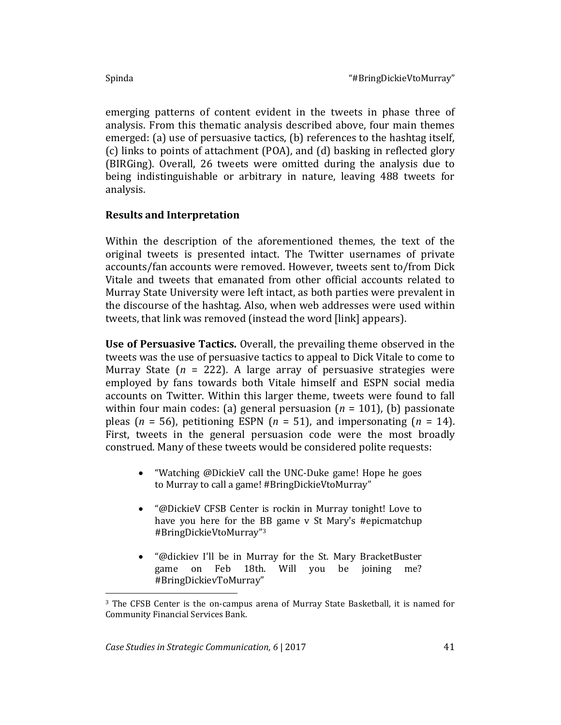emerging patterns of content evident in the tweets in phase three of analysis. From this thematic analysis described above, four main themes emerged: (a) use of persuasive tactics, (b) references to the hashtag itself, (c) links to points of attachment (POA), and (d) basking in reflected glory (BIRGing). Overall, 26 tweets were omitted during the analysis due to being indistinguishable or arbitrary in nature, leaving 488 tweets for analysis.

## **Results and Interpretation**

Within the description of the aforementioned themes, the text of the original tweets is presented intact. The Twitter usernames of private accounts/fan accounts were removed. However, tweets sent to/from Dick Vitale and tweets that emanated from other official accounts related to Murray State University were left intact, as both parties were prevalent in the discourse of the hashtag. Also, when web addresses were used within tweets, that link was removed (instead the word [link] appears).

**Use of Persuasive Tactics.** Overall, the prevailing theme observed in the tweets was the use of persuasive tactics to appeal to Dick Vitale to come to Murray State  $(n = 222)$ . A large array of persuasive strategies were employed by fans towards both Vitale himself and ESPN social media accounts on Twitter. Within this larger theme, tweets were found to fall within four main codes: (a) general persuasion (*n* = 101), (b) passionate pleas ( $n = 56$ ), petitioning ESPN ( $n = 51$ ), and impersonating ( $n = 14$ ). First, tweets in the general persuasion code were the most broadly construed. Many of these tweets would be considered polite requests:

- "Watching @DickieV call the UNC-Duke game! Hope he goes to Murray to call a game! #BringDickieVtoMurray"
- "@DickieV CFSB Center is rockin in Murray tonight! Love to have you here for the BB game v St Mary's #epicmatchup #BringDickieVtoMurray"<sup>3</sup>
- "@dickiev I'll be in Murray for the St. Mary BracketBuster game on Feb 18th. Will you be joining me? #BringDickievToMurray"

 $\overline{\phantom{a}}$ 

<sup>3</sup> The CFSB Center is the on-campus arena of Murray State Basketball, it is named for Community Financial Services Bank.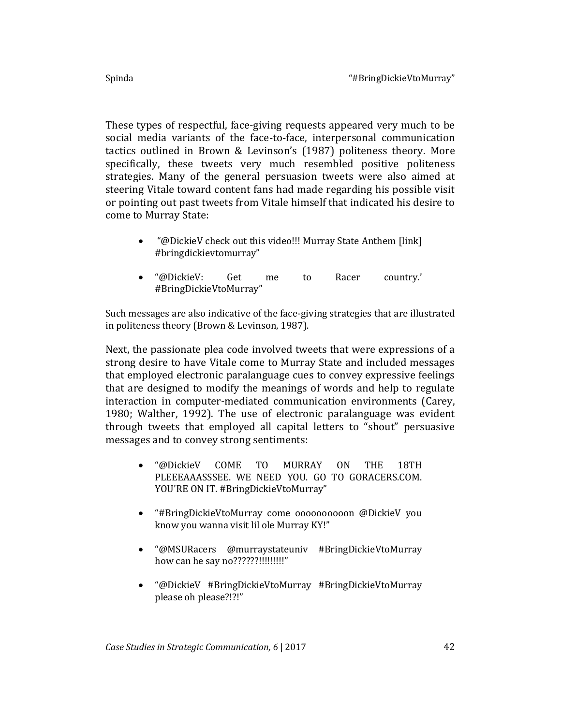These types of respectful, face-giving requests appeared very much to be social media variants of the face-to-face, interpersonal communication tactics outlined in Brown & Levinson's (1987) politeness theory. More specifically, these tweets very much resembled positive politeness strategies. Many of the general persuasion tweets were also aimed at steering Vitale toward content fans had made regarding his possible visit or pointing out past tweets from Vitale himself that indicated his desire to come to Murray State:

- "@DickieV check out this video!!! Murray State Anthem [link] #bringdickievtomurray"
- "@DickieV: Get me to Racer country.' #BringDickieVtoMurray"

Such messages are also indicative of the face-giving strategies that are illustrated in politeness theory (Brown & Levinson, 1987).

Next, the passionate plea code involved tweets that were expressions of a strong desire to have Vitale come to Murray State and included messages that employed electronic paralanguage cues to convey expressive feelings that are designed to modify the meanings of words and help to regulate interaction in computer-mediated communication environments (Carey, 1980; Walther, 1992). The use of electronic paralanguage was evident through tweets that employed all capital letters to "shout" persuasive messages and to convey strong sentiments:

- "@DickieV COME TO MURRAY ON THE 18TH PLEEEAAASSSEE. WE NEED YOU. GO TO GORACERS.COM. YOU'RE ON IT. #BringDickieVtoMurray"
- "#BringDickieVtoMurray come oooooooooon @DickieV you know you wanna visit lil ole Murray KY!"
- "@MSURacers @murraystateuniv #BringDickieVtoMurray how can he say no???????!!!!!!!!!!!
- "@DickieV #BringDickieVtoMurray #BringDickieVtoMurray please oh please?!?!"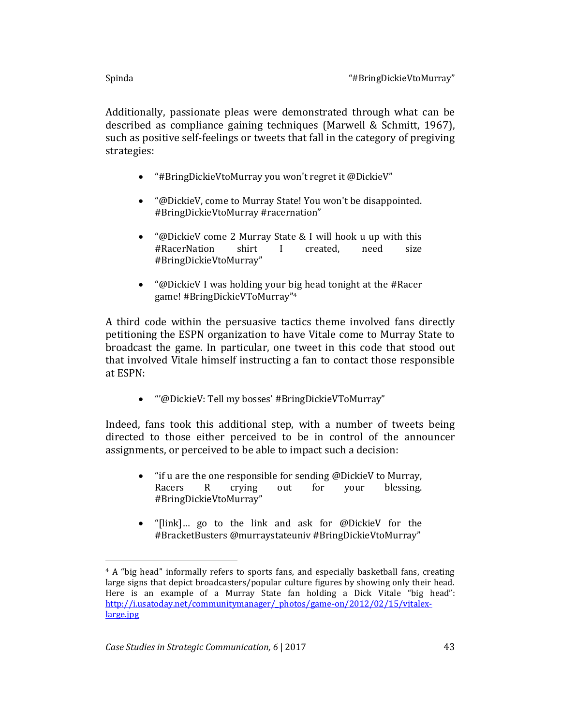Additionally, passionate pleas were demonstrated through what can be described as compliance gaining techniques (Marwell & Schmitt, 1967), such as positive self-feelings or tweets that fall in the category of pregiving strategies:

- "#BringDickieVtoMurray you won't regret it @DickieV"
- "@DickieV, come to Murray State! You won't be disappointed. #BringDickieVtoMurray #racernation"
- "@DickieV come 2 Murray State & I will hook u up with this #RacerNation shirt I created, need size #BringDickieVtoMurray"
- "@DickieV I was holding your big head tonight at the #Racer game! #BringDickieVToMurray"<sup>4</sup>

A third code within the persuasive tactics theme involved fans directly petitioning the ESPN organization to have Vitale come to Murray State to broadcast the game. In particular, one tweet in this code that stood out that involved Vitale himself instructing a fan to contact those responsible at ESPN:

"'@DickieV: Tell my bosses' #BringDickieVToMurray"

Indeed, fans took this additional step, with a number of tweets being directed to those either perceived to be in control of the announcer assignments, or perceived to be able to impact such a decision:

- "if u are the one responsible for sending @DickieV to Murray, Racers R crying out for your blessing. #BringDickieVtoMurray"
- "[link]… go to the link and ask for @DickieV for the #BracketBusters @murraystateuniv #BringDickieVtoMurray"

 $\overline{\phantom{a}}$ <sup>4</sup> A "big head" informally refers to sports fans, and especially basketball fans, creating large signs that depict broadcasters/popular culture figures by showing only their head. Here is an example of a Murray State fan holding a Dick Vitale "big head": [http://i.usatoday.net/communitymanager/\\_photos/game-on/2012/02/15/vitalex](http://i.usatoday.net/communitymanager/_photos/game-on/2012/02/15/vitalex-large.jpg)[large.jpg](http://i.usatoday.net/communitymanager/_photos/game-on/2012/02/15/vitalex-large.jpg)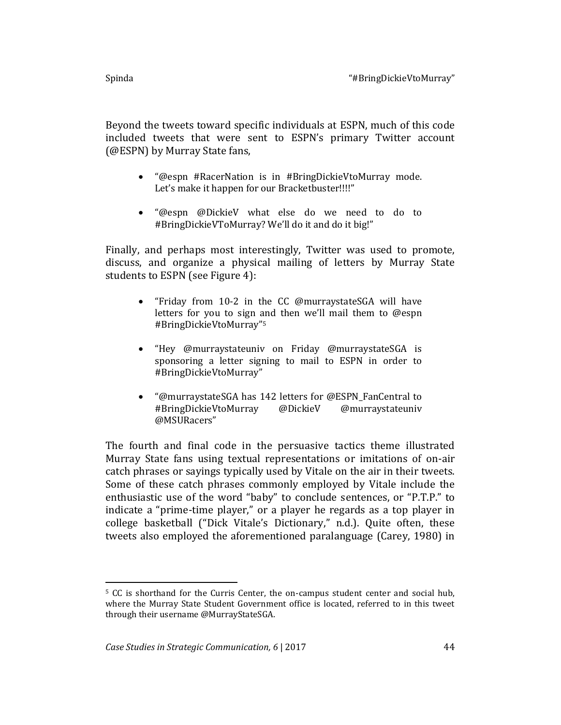Beyond the tweets toward specific individuals at ESPN, much of this code included tweets that were sent to ESPN's primary Twitter account (@ESPN) by Murray State fans,

- "@espn #RacerNation is in #BringDickieVtoMurray mode. Let's make it happen for our Bracketbuster!!!!"
- "@espn @DickieV what else do we need to do to #BringDickieVToMurray? We'll do it and do it big!"

Finally, and perhaps most interestingly, Twitter was used to promote, discuss, and organize a physical mailing of letters by Murray State students to ESPN (see Figure 4):

- "Friday from 10-2 in the CC @murraystateSGA will have letters for you to sign and then we'll mail them to @espn #BringDickieVtoMurray"<sup>5</sup>
- "Hey @murraystateuniv on Friday @murraystateSGA is sponsoring a letter signing to mail to ESPN in order to #BringDickieVtoMurray"
- "@murraystateSGA has 142 letters for @ESPN\_FanCentral to #BringDickieVtoMurray @DickieV @murraystateuniv @MSURacers"

The fourth and final code in the persuasive tactics theme illustrated Murray State fans using textual representations or imitations of on-air catch phrases or sayings typically used by Vitale on the air in their tweets. Some of these catch phrases commonly employed by Vitale include the enthusiastic use of the word "baby" to conclude sentences, or "P.T.P." to indicate a "prime-time player," or a player he regards as a top player in college basketball ("Dick Vitale's Dictionary," n.d.). Quite often, these tweets also employed the aforementioned paralanguage (Carey, 1980) in

l <sup>5</sup> CC is shorthand for the Curris Center, the on-campus student center and social hub, where the Murray State Student Government office is located, referred to in this tweet through their username @MurrayStateSGA.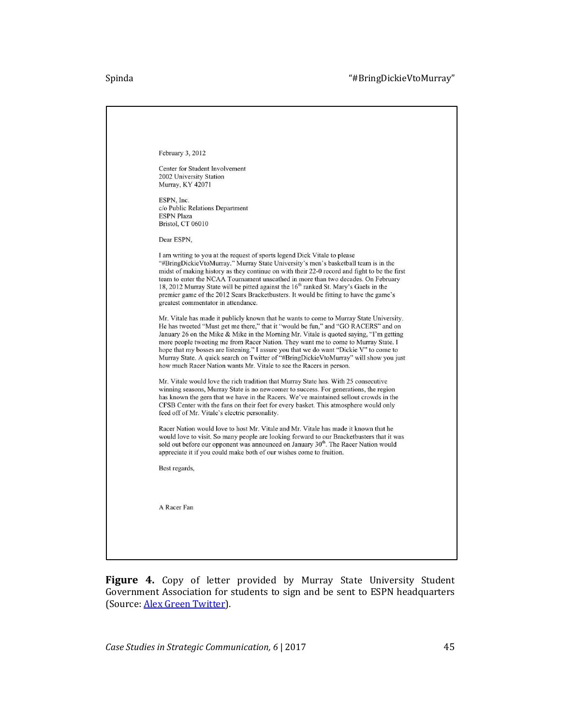#### Spinda "#BringDickieVtoMurray"

| February 3, 2012                                                                                                                                                                                                                                                                                                                                                                                                                                                                                                                                                                                                        |
|-------------------------------------------------------------------------------------------------------------------------------------------------------------------------------------------------------------------------------------------------------------------------------------------------------------------------------------------------------------------------------------------------------------------------------------------------------------------------------------------------------------------------------------------------------------------------------------------------------------------------|
| Center for Student Involvement<br>2002 University Station<br>Murray, KY 42071                                                                                                                                                                                                                                                                                                                                                                                                                                                                                                                                           |
| ESPN, Inc.<br>c/o Public Relations Department<br><b>ESPN</b> Plaza<br>Bristol, CT 06010                                                                                                                                                                                                                                                                                                                                                                                                                                                                                                                                 |
| Dear ESPN,                                                                                                                                                                                                                                                                                                                                                                                                                                                                                                                                                                                                              |
| I am writing to you at the request of sports legend Dick Vitale to please<br>"#BringDickieVtoMurray." Murray State University's men's basketball team is in the<br>midst of making history as they continue on with their 22-0 record and fight to be the first<br>team to enter the NCAA Tournament unscathed in more than two decades. On February<br>18, 2012 Murray State will be pitted against the 16 <sup>th</sup> ranked St. Mary's Gaels in the<br>premier game of the 2012 Sears Bracketbusters. It would be fitting to have the game's<br>greatest commentator in attendance.                                |
| Mr. Vitale has made it publicly known that he wants to come to Murray State University.<br>He has tweeted "Must get me there," that it "would be fun," and "GO RACERS" and on<br>January 26 on the Mike & Mike in the Morning Mr. Vitale is quoted saying, "I'm getting<br>more people tweeting me from Racer Nation. They want me to come to Murray State. I<br>hope that my bosses are listening." I assure you that we do want "Dickie V" to come to<br>Murray State. A quick search on Twitter of "#BringDickieVtoMurray" will show you just<br>how much Racer Nation wants Mr. Vitale to see the Racers in person. |
| Mr. Vitale would love the rich tradition that Murray State has. With 25 consecutive<br>winning seasons, Murray State is no newcomer to success. For generations, the region<br>has known the gem that we have in the Racers. We've maintained sellout crowds in the<br>CFSB Center with the fans on their feet for every basket. This atmosphere would only<br>feed off of Mr. Vitale's electric personality.                                                                                                                                                                                                           |
| Racer Nation would love to host Mr. Vitale and Mr. Vitale has made it known that he<br>would love to visit. So many people are looking forward to our Bracketbusters that it was<br>sold out before our opponent was announced on January 30 <sup>th</sup> . The Racer Nation would<br>appreciate it if you could make both of our wishes come to fruition.                                                                                                                                                                                                                                                             |
| Best regards,                                                                                                                                                                                                                                                                                                                                                                                                                                                                                                                                                                                                           |
| A Racer Fan                                                                                                                                                                                                                                                                                                                                                                                                                                                                                                                                                                                                             |
|                                                                                                                                                                                                                                                                                                                                                                                                                                                                                                                                                                                                                         |

Figure 4. Copy of letter provided by Murray State University Student Government Association for students to sign and be sent to ESPN headquarters (Source: [Alex Green Twitter\)](https://twitter.com/TheAlexGreen47/status/165307164343287808).

*Case Studies in Strategic Communication, 6* | 2017 45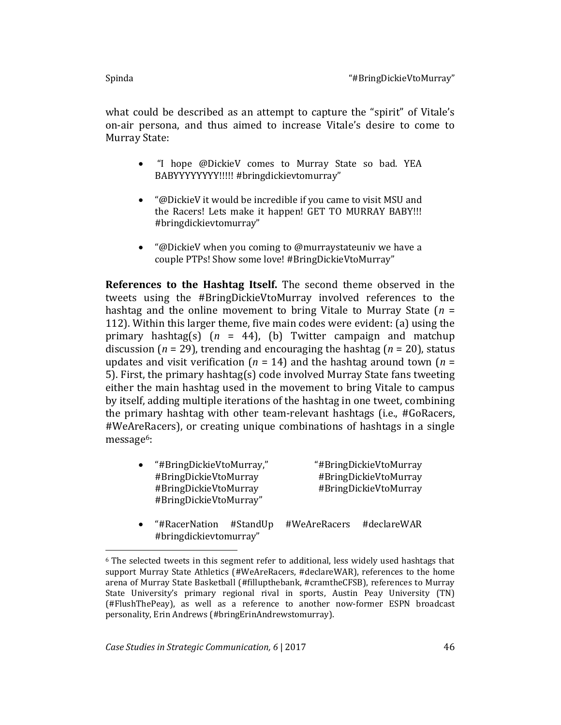$\overline{\phantom{a}}$ 

what could be described as an attempt to capture the "spirit" of Vitale's on-air persona, and thus aimed to increase Vitale's desire to come to Murray State:

- "I hope @DickieV comes to Murray State so bad. YEA BABYYYYYYYY!!!!! #bringdickievtomurray"
- "@DickieV it would be incredible if you came to visit MSU and the Racers! Lets make it happen! GET TO MURRAY BABY!!! #bringdickievtomurray"
- "@DickieV when you coming to @murraystateuniv we have a couple PTPs! Show some love! #BringDickieVtoMurray"

**References to the Hashtag Itself.** The second theme observed in the tweets using the #BringDickieVtoMurray involved references to the hashtag and the online movement to bring Vitale to Murray State (*n* = 112). Within this larger theme, five main codes were evident: (a) using the primary hashtag(s) (*n* = 44), (b) Twitter campaign and matchup discussion (*n* = 29), trending and encouraging the hashtag (*n* = 20), status updates and visit verification ( $n = 14$ ) and the hashtag around town ( $n =$ 5). First, the primary hashtag(s) code involved Murray State fans tweeting either the main hashtag used in the movement to bring Vitale to campus by itself, adding multiple iterations of the hashtag in one tweet, combining the primary hashtag with other team-relevant hashtags (i.e., #GoRacers, #WeAreRacers), or creating unique combinations of hashtags in a single message6:

- "#BringDickieVtoMurray," "#BringDickieVtoMurray #BringDickieVtoMurray #BringDickieVtoMurray #BringDickieVtoMurray #BringDickieVtoMurray #BringDickieVtoMurray"
- "#RacerNation #StandUp #WeAreRacers #declareWAR #bringdickievtomurray"

<sup>6</sup> The selected tweets in this segment refer to additional, less widely used hashtags that support Murray State Athletics (#WeAreRacers, #declareWAR), references to the home arena of Murray State Basketball (#fillupthebank, #cramtheCFSB), references to Murray State University's primary regional rival in sports, Austin Peay University (TN) (#FlushThePeay), as well as a reference to another now-former ESPN broadcast personality, Erin Andrews (#bringErinAndrewstomurray).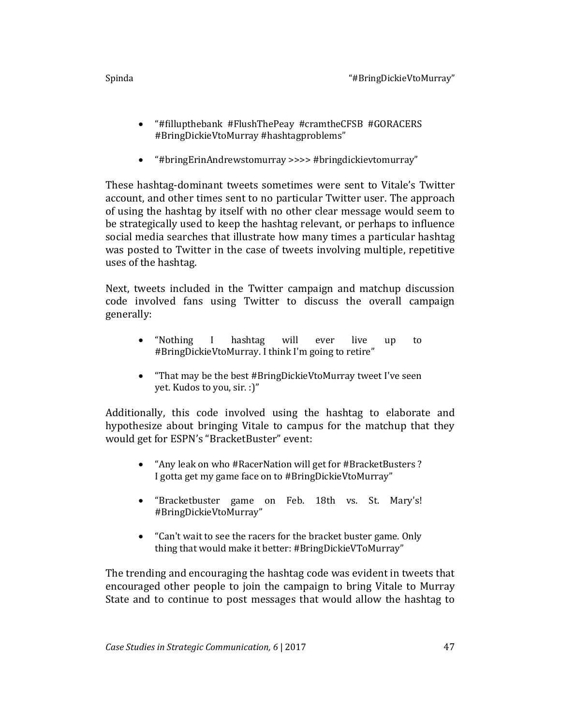- "#fillupthebank #FlushThePeay #cramtheCFSB #GORACERS #BringDickieVtoMurray #hashtagproblems"
- "#bringErinAndrewstomurray >>>> #bringdickievtomurray"

These hashtag-dominant tweets sometimes were sent to Vitale's Twitter account, and other times sent to no particular Twitter user. The approach of using the hashtag by itself with no other clear message would seem to be strategically used to keep the hashtag relevant, or perhaps to influence social media searches that illustrate how many times a particular hashtag was posted to Twitter in the case of tweets involving multiple, repetitive uses of the hashtag.

Next, tweets included in the Twitter campaign and matchup discussion code involved fans using Twitter to discuss the overall campaign generally:

- "Nothing I hashtag will ever live up to #BringDickieVtoMurray. I think I'm going to retire"
- "That may be the best #BringDickieVtoMurray tweet I've seen yet. Kudos to you, sir. :)"

Additionally, this code involved using the hashtag to elaborate and hypothesize about bringing Vitale to campus for the matchup that they would get for ESPN's "BracketBuster" event:

- "Any leak on who #RacerNation will get for #BracketBusters ? I gotta get my game face on to #BringDickieVtoMurray"
- "Bracketbuster game on Feb. 18th vs. St. Mary's! #BringDickieVtoMurray"
- "Can't wait to see the racers for the bracket buster game. Only thing that would make it better: #BringDickieVToMurray"

The trending and encouraging the hashtag code was evident in tweets that encouraged other people to join the campaign to bring Vitale to Murray State and to continue to post messages that would allow the hashtag to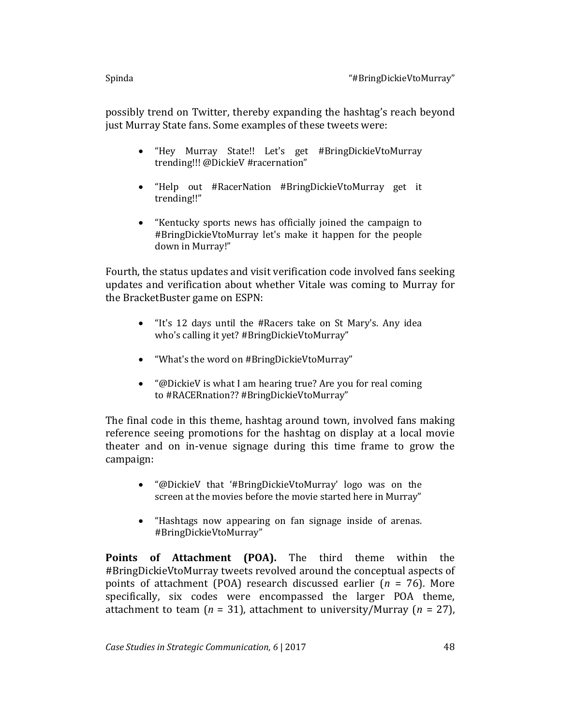possibly trend on Twitter, thereby expanding the hashtag's reach beyond just Murray State fans. Some examples of these tweets were:

- "Hey Murray State!! Let's get #BringDickieVtoMurray trending!!! @DickieV #racernation"
- "Help out #RacerNation #BringDickieVtoMurray get it trending!!"
- "Kentucky sports news has officially joined the campaign to #BringDickieVtoMurray let's make it happen for the people down in Murray!"

Fourth, the status updates and visit verification code involved fans seeking updates and verification about whether Vitale was coming to Murray for the BracketBuster game on ESPN:

- "It's 12 days until the #Racers take on St Mary's. Any idea who's calling it yet? #BringDickieVtoMurray"
- "What's the word on #BringDickieVtoMurray"
- "@DickieV is what I am hearing true? Are you for real coming to #RACERnation?? #BringDickieVtoMurray"

The final code in this theme, hashtag around town, involved fans making reference seeing promotions for the hashtag on display at a local movie theater and on in-venue signage during this time frame to grow the campaign:

- "@DickieV that '#BringDickieVtoMurray' logo was on the screen at the movies before the movie started here in Murray"
- "Hashtags now appearing on fan signage inside of arenas. #BringDickieVtoMurray"

**Points of Attachment (POA).** The third theme within the #BringDickieVtoMurray tweets revolved around the conceptual aspects of points of attachment (POA) research discussed earlier (*n* = 76). More specifically, six codes were encompassed the larger POA theme, attachment to team (*n* = 31), attachment to university/Murray (*n* = 27),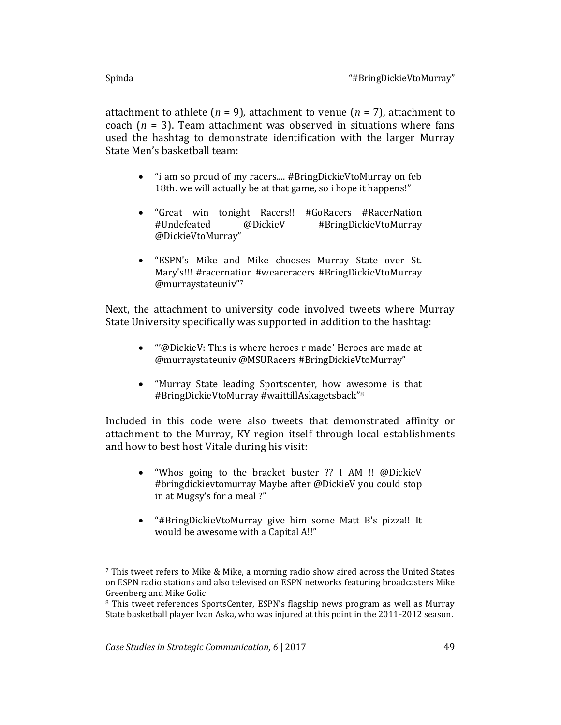$\overline{\phantom{a}}$ 

attachment to athlete  $(n = 9)$ , attachment to venue  $(n = 7)$ , attachment to coach  $(n = 3)$ . Team attachment was observed in situations where fans used the hashtag to demonstrate identification with the larger Murray State Men's basketball team:

- "i am so proud of my racers.... #BringDickieVtoMurray on feb 18th. we will actually be at that game, so i hope it happens!"
- "Great win tonight Racers!! #GoRacers #RacerNation #Undefeated @DickieV #BringDickieVtoMurray @DickieVtoMurray"
- "ESPN's Mike and Mike chooses Murray State over St. Mary's!!! #racernation #weareracers #BringDickieVtoMurray @murraystateuniv"<sup>7</sup>

Next, the attachment to university code involved tweets where Murray State University specifically was supported in addition to the hashtag:

- "'@DickieV: This is where heroes r made' Heroes are made at @murraystateuniv @MSURacers #BringDickieVtoMurray"
- "Murray State leading Sportscenter, how awesome is that #BringDickieVtoMurray #waittillAskagetsback" 8

Included in this code were also tweets that demonstrated affinity or attachment to the Murray, KY region itself through local establishments and how to best host Vitale during his visit:

- "Whos going to the bracket buster ?? I AM !! @DickieV #bringdickievtomurray Maybe after @DickieV you could stop in at Mugsy's for a meal ?"
- "#BringDickieVtoMurray give him some Matt B's pizza!! It would be awesome with a Capital A!!"

<sup>7</sup> This tweet refers to Mike & Mike, a morning radio show aired across the United States on ESPN radio stations and also televised on ESPN networks featuring broadcasters Mike Greenberg and Mike Golic.

<sup>8</sup> This tweet references SportsCenter, ESPN's flagship news program as well as Murray State basketball player Ivan Aska, who was injured at this point in the 2011-2012 season.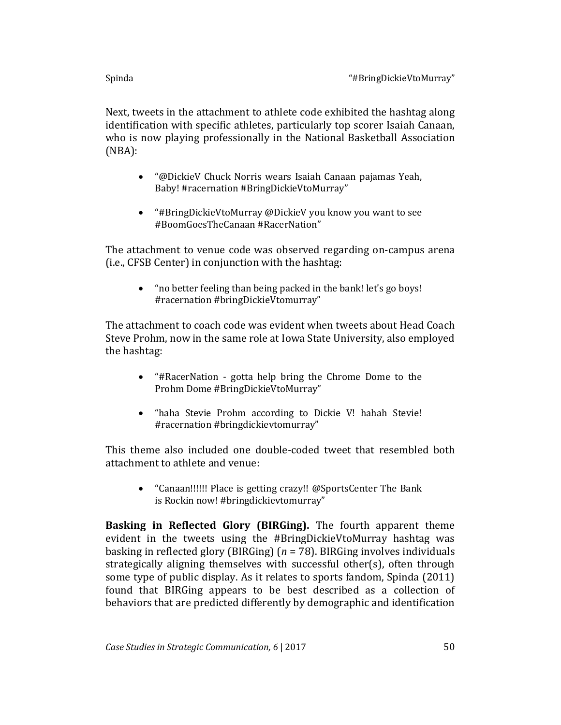Next, tweets in the attachment to athlete code exhibited the hashtag along identification with specific athletes, particularly top scorer Isaiah Canaan, who is now playing professionally in the National Basketball Association (NBA):

- "@DickieV Chuck Norris wears Isaiah Canaan pajamas Yeah, Baby! #racernation #BringDickieVtoMurray"
- "#BringDickieVtoMurray @DickieV you know you want to see #BoomGoesTheCanaan #RacerNation"

The attachment to venue code was observed regarding on-campus arena (i.e., CFSB Center) in conjunction with the hashtag:

 "no better feeling than being packed in the bank! let's go boys! #racernation #bringDickieVtomurray"

The attachment to coach code was evident when tweets about Head Coach Steve Prohm, now in the same role at Iowa State University, also employed the hashtag:

- "#RacerNation gotta help bring the Chrome Dome to the Prohm Dome #BringDickieVtoMurray"
- "haha Stevie Prohm according to Dickie V! hahah Stevie! #racernation #bringdickievtomurray"

This theme also included one double-coded tweet that resembled both attachment to athlete and venue:

 "Canaan!!!!!! Place is getting crazy!! @SportsCenter The Bank is Rockin now! #bringdickievtomurray"

**Basking in Reflected Glory (BIRGing).** The fourth apparent theme evident in the tweets using the #BringDickieVtoMurray hashtag was basking in reflected glory (BIRGing) (*n* = 78). BIRGing involves individuals strategically aligning themselves with successful other(s), often through some type of public display. As it relates to sports fandom, Spinda (2011) found that BIRGing appears to be best described as a collection of behaviors that are predicted differently by demographic and identification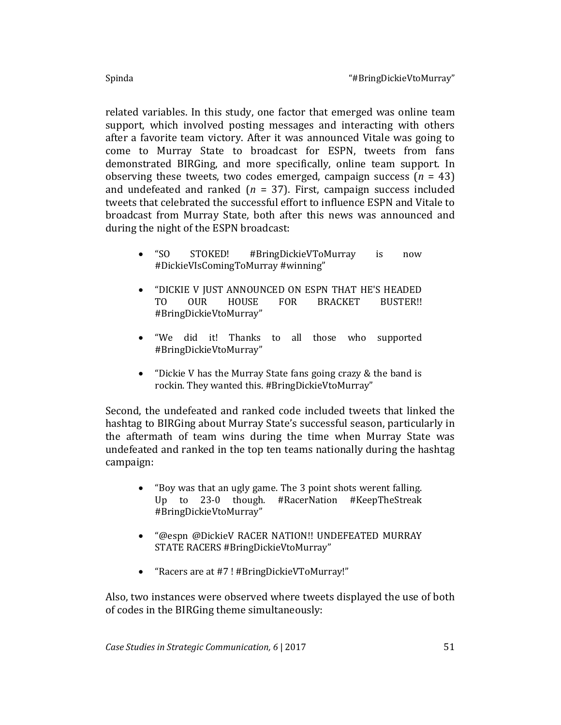related variables. In this study, one factor that emerged was online team support, which involved posting messages and interacting with others after a favorite team victory. After it was announced Vitale was going to come to Murray State to broadcast for ESPN, tweets from fans demonstrated BIRGing, and more specifically, online team support. In observing these tweets, two codes emerged, campaign success (*n* = 43) and undefeated and ranked  $(n = 37)$ . First, campaign success included tweets that celebrated the successful effort to influence ESPN and Vitale to broadcast from Murray State, both after this news was announced and during the night of the ESPN broadcast:

- "SO STOKED! #BringDickieVToMurray is now #DickieVIsComingToMurray #winning"
- "DICKIE V JUST ANNOUNCED ON ESPN THAT HE'S HEADED TO OUR HOUSE FOR BRACKET BUSTER!! #BringDickieVtoMurray"
- "We did it! Thanks to all those who supported #BringDickieVtoMurray"
- "Dickie V has the Murray State fans going crazy & the band is rockin. They wanted this. #BringDickieVtoMurray"

Second, the undefeated and ranked code included tweets that linked the hashtag to BIRGing about Murray State's successful season, particularly in the aftermath of team wins during the time when Murray State was undefeated and ranked in the top ten teams nationally during the hashtag campaign:

- "Boy was that an ugly game. The 3 point shots werent falling. Up to 23-0 though. #RacerNation #KeepTheStreak #BringDickieVtoMurray"
- "@espn @DickieV RACER NATION!! UNDEFEATED MURRAY STATE RACERS #BringDickieVtoMurray"
- "Racers are at #7 ! #BringDickieVToMurray!"

Also, two instances were observed where tweets displayed the use of both of codes in the BIRGing theme simultaneously: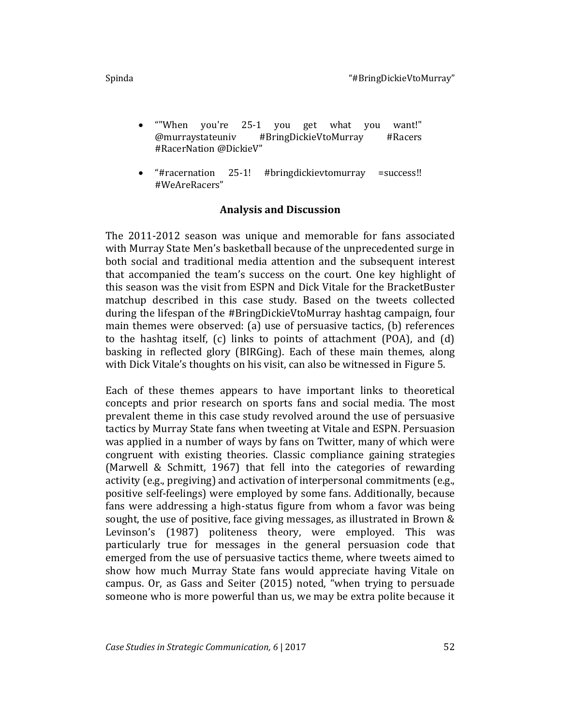- ""When you're 25-1 you get what you want!" @murraystateuniv #BringDickieVtoMurray #Racers #RacerNation @DickieV"
- "#racernation 25-1! #bringdickievtomurray =success!! #WeAreRacers"

## **Analysis and Discussion**

The 2011-2012 season was unique and memorable for fans associated with Murray State Men's basketball because of the unprecedented surge in both social and traditional media attention and the subsequent interest that accompanied the team's success on the court. One key highlight of this season was the visit from ESPN and Dick Vitale for the BracketBuster matchup described in this case study. Based on the tweets collected during the lifespan of the #BringDickieVtoMurray hashtag campaign, four main themes were observed: (a) use of persuasive tactics, (b) references to the hashtag itself, (c) links to points of attachment (POA), and (d) basking in reflected glory (BIRGing). Each of these main themes, along with Dick Vitale's thoughts on his visit, can also be witnessed in Figure 5.

Each of these themes appears to have important links to theoretical concepts and prior research on sports fans and social media. The most prevalent theme in this case study revolved around the use of persuasive tactics by Murray State fans when tweeting at Vitale and ESPN. Persuasion was applied in a number of ways by fans on Twitter, many of which were congruent with existing theories. Classic compliance gaining strategies (Marwell & Schmitt, 1967) that fell into the categories of rewarding activity (e.g., pregiving) and activation of interpersonal commitments (e.g., positive self-feelings) were employed by some fans. Additionally, because fans were addressing a high-status figure from whom a favor was being sought, the use of positive, face giving messages, as illustrated in Brown & Levinson's (1987) politeness theory, were employed. This was particularly true for messages in the general persuasion code that emerged from the use of persuasive tactics theme, where tweets aimed to show how much Murray State fans would appreciate having Vitale on campus. Or, as Gass and Seiter (2015) noted, "when trying to persuade someone who is more powerful than us, we may be extra polite because it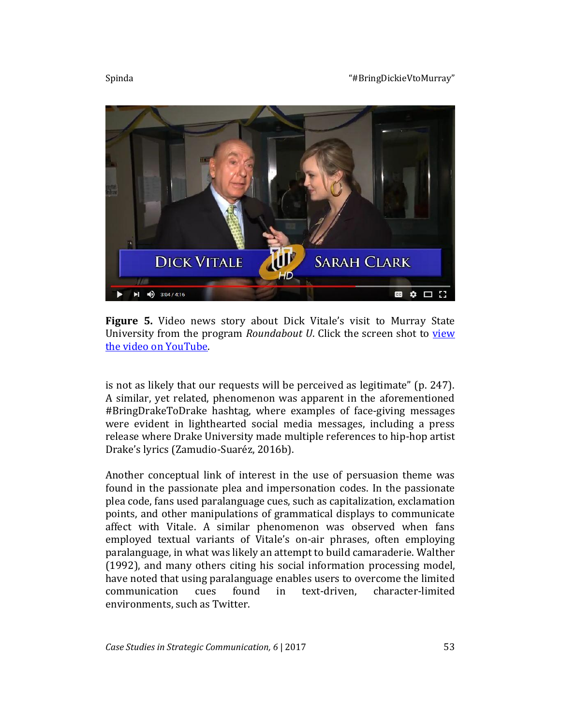Spinda **Marshall** Spinda (Spinda Text of the Spinda Text of the Spinda Text of the Spinda Text of the Spinda Text of the Spinda Text of the Spinda Spinda Text of the Spinda Text of the Spinda Text of the Spinda Text of the



**Figure 5.** Video news story about Dick Vitale's visit to Murray State University from the program *Roundabout U*. Click the screen shot to [view](https://www.youtube.com/watch?v=WpBOeeTYqSU)  [the video on YouTube.](https://www.youtube.com/watch?v=WpBOeeTYqSU)

is not as likely that our requests will be perceived as legitimate" (p. 247). A similar, yet related, phenomenon was apparent in the aforementioned #BringDrakeToDrake hashtag, where examples of face-giving messages were evident in lighthearted social media messages, including a press release where Drake University made multiple references to hip-hop artist Drake's lyrics (Zamudio-Suaréz, 2016b).

Another conceptual link of interest in the use of persuasion theme was found in the passionate plea and impersonation codes. In the passionate plea code, fans used paralanguage cues, such as capitalization, exclamation points, and other manipulations of grammatical displays to communicate affect with Vitale. A similar phenomenon was observed when fans employed textual variants of Vitale's on-air phrases, often employing paralanguage, in what was likely an attempt to build camaraderie. Walther (1992), and many others citing his social information processing model, have noted that using paralanguage enables users to overcome the limited communication cues found in text-driven, character-limited environments, such as Twitter.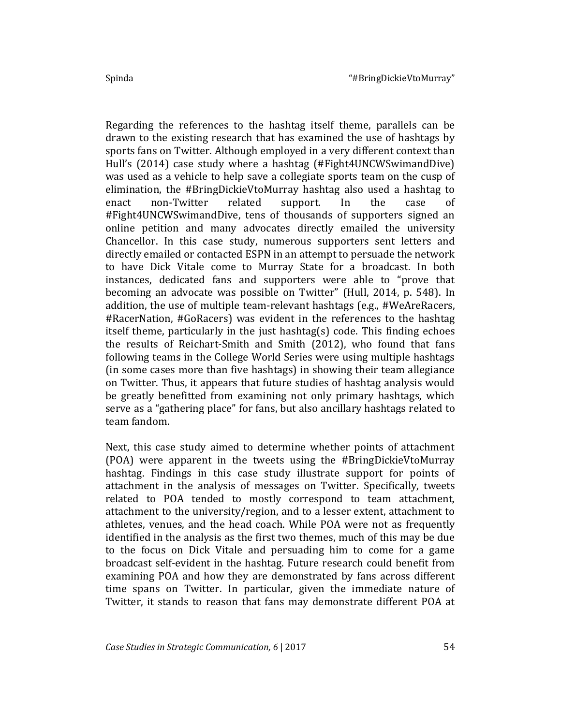Regarding the references to the hashtag itself theme, parallels can be drawn to the existing research that has examined the use of hashtags by sports fans on Twitter. Although employed in a very different context than Hull's (2014) case study where a hashtag (#Fight4UNCWSwimandDive) was used as a vehicle to help save a collegiate sports team on the cusp of elimination, the #BringDickieVtoMurray hashtag also used a hashtag to enact non-Twitter related support. In the case of #Fight4UNCWSwimandDive, tens of thousands of supporters signed an online petition and many advocates directly emailed the university Chancellor. In this case study, numerous supporters sent letters and directly emailed or contacted ESPN in an attempt to persuade the network to have Dick Vitale come to Murray State for a broadcast. In both instances, dedicated fans and supporters were able to "prove that becoming an advocate was possible on Twitter" (Hull, 2014, p. 548). In addition, the use of multiple team-relevant hashtags (e.g., #WeAreRacers, #RacerNation, #GoRacers) was evident in the references to the hashtag itself theme, particularly in the just hashtag(s) code. This finding echoes the results of Reichart-Smith and Smith (2012), who found that fans following teams in the College World Series were using multiple hashtags (in some cases more than five hashtags) in showing their team allegiance on Twitter. Thus, it appears that future studies of hashtag analysis would be greatly benefitted from examining not only primary hashtags, which serve as a "gathering place" for fans, but also ancillary hashtags related to team fandom.

Next, this case study aimed to determine whether points of attachment (POA) were apparent in the tweets using the #BringDickieVtoMurray hashtag. Findings in this case study illustrate support for points of attachment in the analysis of messages on Twitter. Specifically, tweets related to POA tended to mostly correspond to team attachment, attachment to the university/region, and to a lesser extent, attachment to athletes, venues, and the head coach. While POA were not as frequently identified in the analysis as the first two themes, much of this may be due to the focus on Dick Vitale and persuading him to come for a game broadcast self-evident in the hashtag. Future research could benefit from examining POA and how they are demonstrated by fans across different time spans on Twitter. In particular, given the immediate nature of Twitter, it stands to reason that fans may demonstrate different POA at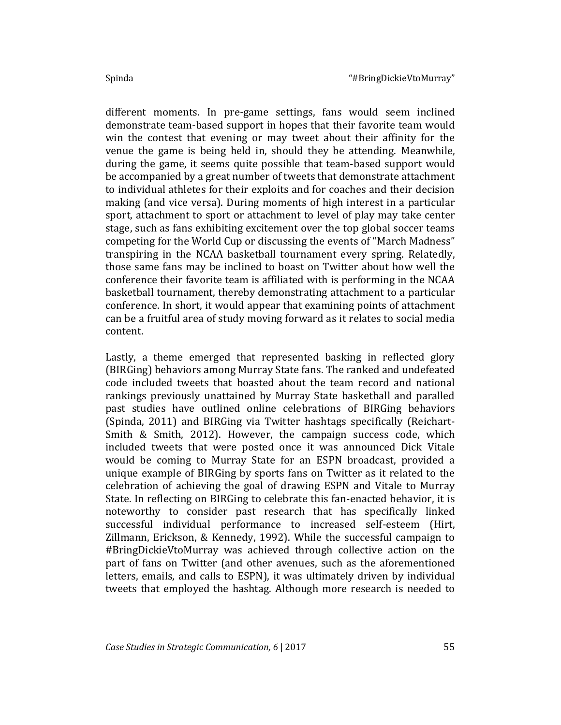different moments. In pre-game settings, fans would seem inclined demonstrate team-based support in hopes that their favorite team would win the contest that evening or may tweet about their affinity for the venue the game is being held in, should they be attending. Meanwhile, during the game, it seems quite possible that team-based support would be accompanied by a great number of tweets that demonstrate attachment to individual athletes for their exploits and for coaches and their decision making (and vice versa). During moments of high interest in a particular sport, attachment to sport or attachment to level of play may take center stage, such as fans exhibiting excitement over the top global soccer teams competing for the World Cup or discussing the events of "March Madness" transpiring in the NCAA basketball tournament every spring. Relatedly, those same fans may be inclined to boast on Twitter about how well the conference their favorite team is affiliated with is performing in the NCAA basketball tournament, thereby demonstrating attachment to a particular conference. In short, it would appear that examining points of attachment can be a fruitful area of study moving forward as it relates to social media content.

Lastly, a theme emerged that represented basking in reflected glory (BIRGing) behaviors among Murray State fans. The ranked and undefeated code included tweets that boasted about the team record and national rankings previously unattained by Murray State basketball and paralled past studies have outlined online celebrations of BIRGing behaviors (Spinda, 2011) and BIRGing via Twitter hashtags specifically (Reichart-Smith & Smith, 2012). However, the campaign success code, which included tweets that were posted once it was announced Dick Vitale would be coming to Murray State for an ESPN broadcast, provided a unique example of BIRGing by sports fans on Twitter as it related to the celebration of achieving the goal of drawing ESPN and Vitale to Murray State. In reflecting on BIRGing to celebrate this fan-enacted behavior, it is noteworthy to consider past research that has specifically linked successful individual performance to increased self-esteem (Hirt, Zillmann, Erickson, & Kennedy, 1992). While the successful campaign to #BringDickieVtoMurray was achieved through collective action on the part of fans on Twitter (and other avenues, such as the aforementioned letters, emails, and calls to ESPN), it was ultimately driven by individual tweets that employed the hashtag. Although more research is needed to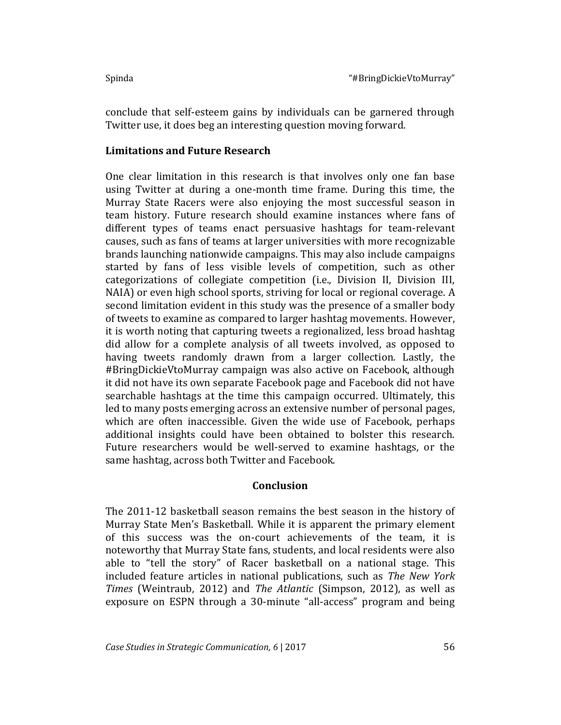conclude that self-esteem gains by individuals can be garnered through Twitter use, it does beg an interesting question moving forward.

## **Limitations and Future Research**

One clear limitation in this research is that involves only one fan base using Twitter at during a one-month time frame. During this time, the Murray State Racers were also enjoying the most successful season in team history. Future research should examine instances where fans of different types of teams enact persuasive hashtags for team-relevant causes, such as fans of teams at larger universities with more recognizable brands launching nationwide campaigns. This may also include campaigns started by fans of less visible levels of competition, such as other categorizations of collegiate competition (i.e., Division II, Division III, NAIA) or even high school sports, striving for local or regional coverage. A second limitation evident in this study was the presence of a smaller body of tweets to examine as compared to larger hashtag movements. However, it is worth noting that capturing tweets a regionalized, less broad hashtag did allow for a complete analysis of all tweets involved, as opposed to having tweets randomly drawn from a larger collection. Lastly, the #BringDickieVtoMurray campaign was also active on Facebook, although it did not have its own separate Facebook page and Facebook did not have searchable hashtags at the time this campaign occurred. Ultimately, this led to many posts emerging across an extensive number of personal pages, which are often inaccessible. Given the wide use of Facebook, perhaps additional insights could have been obtained to bolster this research. Future researchers would be well-served to examine hashtags, or the same hashtag, across both Twitter and Facebook.

#### **Conclusion**

The 2011-12 basketball season remains the best season in the history of Murray State Men's Basketball. While it is apparent the primary element of this success was the on-court achievements of the team, it is noteworthy that Murray State fans, students, and local residents were also able to "tell the story" of Racer basketball on a national stage. This included feature articles in national publications, such as *The New York Times* (Weintraub, 2012) and *The Atlantic* (Simpson, 2012), as well as exposure on ESPN through a 30-minute "all-access" program and being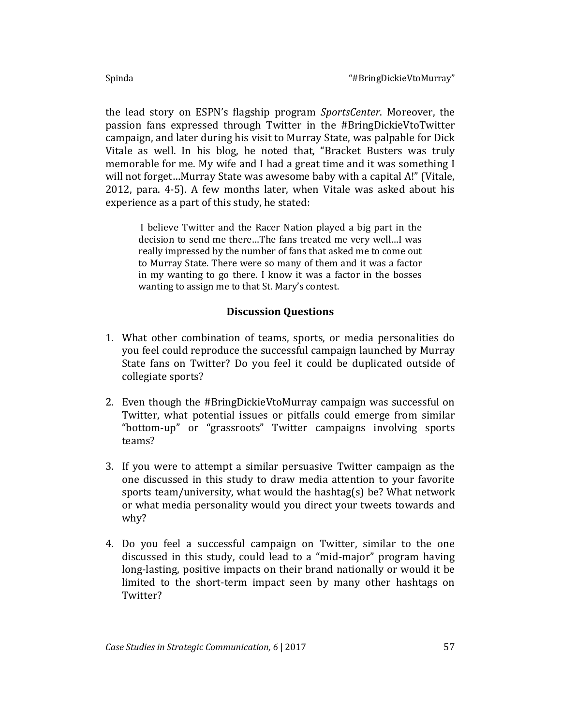the lead story on ESPN's flagship program *SportsCenter*. Moreover, the passion fans expressed through Twitter in the #BringDickieVtoTwitter campaign, and later during his visit to Murray State, was palpable for Dick Vitale as well. In his blog, he noted that, "Bracket Busters was truly memorable for me. My wife and I had a great time and it was something I will not forget…Murray State was awesome baby with a capital A!" (Vitale, 2012, para. 4-5). A few months later, when Vitale was asked about his experience as a part of this study, he stated:

I believe Twitter and the Racer Nation played a big part in the decision to send me there…The fans treated me very well…I was really impressed by the number of fans that asked me to come out to Murray State. There were so many of them and it was a factor in my wanting to go there. I know it was a factor in the bosses wanting to assign me to that St. Mary's contest.

## **Discussion Questions**

- 1. What other combination of teams, sports, or media personalities do you feel could reproduce the successful campaign launched by Murray State fans on Twitter? Do you feel it could be duplicated outside of collegiate sports?
- 2. Even though the #BringDickieVtoMurray campaign was successful on Twitter, what potential issues or pitfalls could emerge from similar "bottom-up" or "grassroots" Twitter campaigns involving sports teams?
- 3. If you were to attempt a similar persuasive Twitter campaign as the one discussed in this study to draw media attention to your favorite sports team/university, what would the hashtag(s) be? What network or what media personality would you direct your tweets towards and why?
- 4. Do you feel a successful campaign on Twitter, similar to the one discussed in this study, could lead to a "mid-major" program having long-lasting, positive impacts on their brand nationally or would it be limited to the short-term impact seen by many other hashtags on Twitter?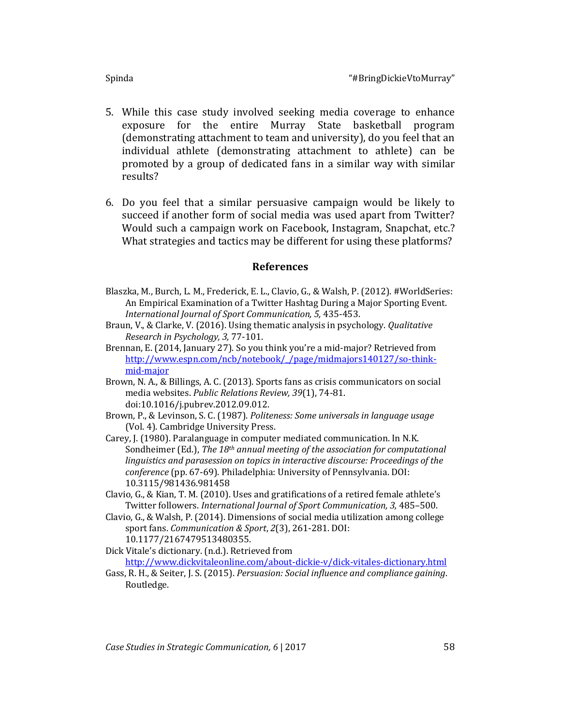- 5. While this case study involved seeking media coverage to enhance exposure for the entire Murray State basketball program (demonstrating attachment to team and university), do you feel that an individual athlete (demonstrating attachment to athlete) can be promoted by a group of dedicated fans in a similar way with similar results?
- 6. Do you feel that a similar persuasive campaign would be likely to succeed if another form of social media was used apart from Twitter? Would such a campaign work on Facebook, Instagram, Snapchat, etc.? What strategies and tactics may be different for using these platforms?

## **References**

- Blaszka, M., Burch, L. M., Frederick, E. L., Clavio, G., & Walsh, P. (2012). #WorldSeries: An Empirical Examination of a Twitter Hashtag During a Major Sporting Event. *International Journal of Sport Communication, 5,* 435-453.
- Braun, V., & Clarke, V. (2016). Using thematic analysis in psychology. *Qualitative Research in Psychology, 3,* 77-101.
- Brennan, E. (2014, January 27). So you think you're a mid-major? Retrieved from [http://www.espn.com/ncb/notebook/\\_/page/midmajors140127/so-think](http://www.espn.com/ncb/notebook/_/page/midmajors140127/so-think-mid-major)[mid-major](http://www.espn.com/ncb/notebook/_/page/midmajors140127/so-think-mid-major)
- Brown, N. A., & Billings, A. C. (2013). Sports fans as crisis communicators on social media websites. *Public Relations Review, 39*(1), 74-81. doi:10.1016/j.pubrev.2012.09.012.
- Brown, P., & Levinson, S. C. (1987). *Politeness: Some universals in language usage* (Vol. 4). Cambridge University Press.
- Carey, J. (1980). Paralanguage in computer mediated communication. In N.K. Sondheimer (Ed.), *The 18th annual meeting of the association for computational linguistics and parasession on topics in interactive discourse: Proceedings of the conference* (pp. 67-69). Philadelphia: University of Pennsylvania. DOI: 10.3115/981436.981458
- Clavio, G., & Kian, T. M. (2010). Uses and gratifications of a retired female athlete's Twitter followers. *International Journal of Sport Communication, 3,* 485–500.
- Clavio, G., & Walsh, P. (2014). Dimensions of social media utilization among college sport fans. *Communication & Sport*, *2*(3), 261-281. DOI: 10.1177/2167479513480355.
- Dick Vitale's dictionary. (n.d.). Retrieved from <http://www.dickvitaleonline.com/about-dickie-v/dick-vitales-dictionary.html>
- Gass, R. H., & Seiter, J. S. (2015). *Persuasion: Social influence and compliance gaining*. Routledge.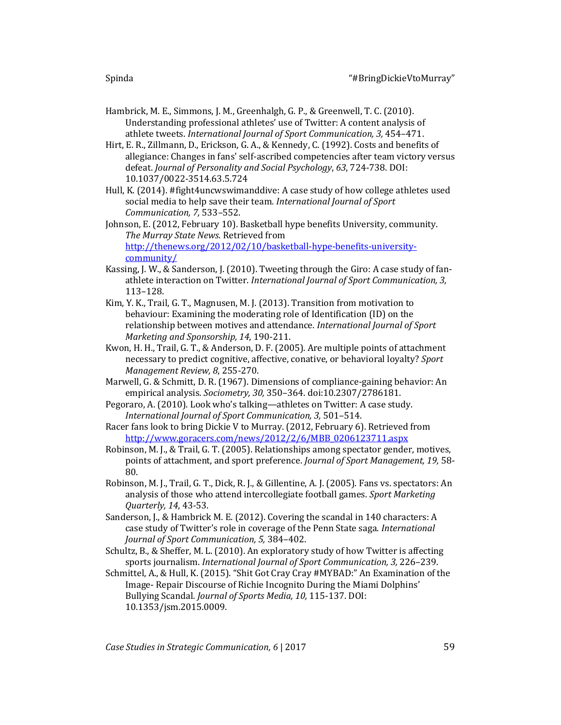- Hambrick, M. E., Simmons, J. M., Greenhalgh, G. P., & Greenwell, T. C. (2010). Understanding professional athletes' use of Twitter: A content analysis of athlete tweets. *International Journal of Sport Communication, 3,* 454–471.
- Hirt, E. R., Zillmann, D., Erickson, G. A., & Kennedy, C. (1992). Costs and benefits of allegiance: Changes in fans' self-ascribed competencies after team victory versus defeat. *Journal of Personality and Social Psychology*, *63*, 724-738. DOI: 10.1037/0022-3514.63.5.724
- Hull, K. (2014). #fight4uncwswimanddive: A case study of how college athletes used social media to help save their team*. International Journal of Sport Communication, 7,* 533–552.
- Johnson, E. (2012, February 10). Basketball hype benefits University, community. *The Murray State News.* Retrieved from [http://thenews.org/2012/02/10/basketball-hype-benefits-university](http://thenews.org/2012/02/10/basketball-hype-benefits-university-community/)[community/](http://thenews.org/2012/02/10/basketball-hype-benefits-university-community/)
- Kassing, J. W., & Sanderson, J. (2010). Tweeting through the Giro: A case study of fanathlete interaction on Twitter. *International Journal of Sport Communication, 3,* 113–128.
- Kim, Y. K., Trail, G. T., Magnusen, M. J. (2013). Transition from motivation to behaviour: Examining the moderating role of Identification (ID) on the relationship between motives and attendance. *International Journal of Sport Marketing and Sponsorship, 14*, 190-211.
- Kwon, H. H., Trail, G. T., & Anderson, D. F. (2005). Are multiple points of attachment necessary to predict cognitive, affective, conative, or behavioral loyalty? *Sport Management Review, 8*, 255-270.
- Marwell, G. & Schmitt, D. R. (1967). Dimensions of compliance-gaining behavior: An empirical analysis. *Sociometry, 30,* 350–364. doi:10.2307/2786181.
- Pegoraro, A. (2010). Look who's talking—athletes on Twitter: A case study. *International Journal of Sport Communication, 3,* 501–514.
- Racer fans look to bring Dickie V to Murray. (2012, February 6). Retrieved from [http://www.goracers.com/news/2012/2/6/MBB\\_0206123711.aspx](http://www.goracers.com/news/2012/2/6/MBB_0206123711.aspx)
- Robinson, M. J., & Trail, G. T. (2005). Relationships among spectator gender, motives, points of attachment, and sport preference. *Journal of Sport Management, 19,* 58- 80.
- Robinson, M. J., Trail, G. T., Dick, R. J., & Gillentine, A. J. (2005). Fans vs. spectators: An analysis of those who attend intercollegiate football games. *Sport Marketing Quarterly, 14*, 43-53.
- Sanderson, J., & Hambrick M. E. (2012). Covering the scandal in 140 characters: A case study of Twitter's role in coverage of the Penn State saga. *International Journal of Sport Communication, 5,* 384–402.
- Schultz, B., & Sheffer, M. L. (2010). An exploratory study of how Twitter is affecting sports journalism. *International Journal of Sport Communication, 3,* 226–239.
- Schmittel, A., & Hull, K. (2015). "Shit Got Cray Cray #MYBAD:" An Examination of the Image- Repair Discourse of Richie Incognito During the Miami Dolphins' Bullying Scandal. *Journal of Sports Media, 10,* 115-137. DOI: 10.1353/jsm.2015.0009.

*Case Studies in Strategic Communication, 6* | 2017 59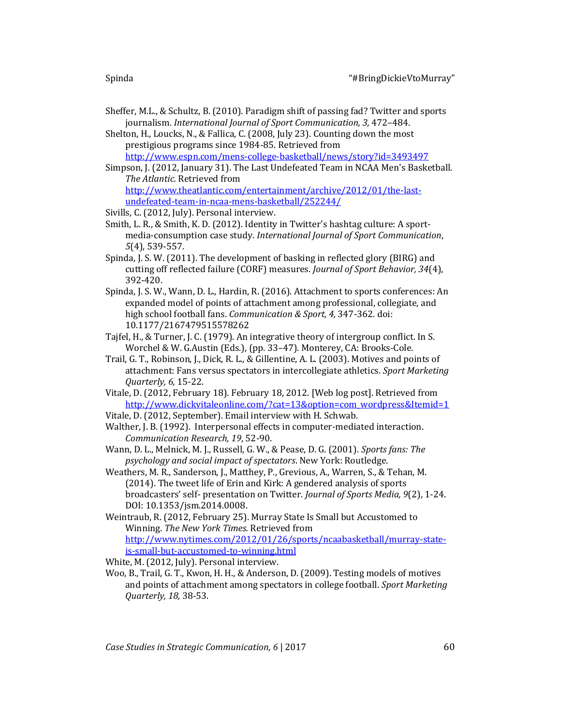- Sheffer, M.L., & Schultz, B. (2010). Paradigm shift of passing fad? Twitter and sports journalism. *International Journal of Sport Communication, 3,* 472–484.
- Shelton, H., Loucks, N., & Fallica, C. (2008, July 23). Counting down the most prestigious programs since 1984-85. Retrieved from <http://www.espn.com/mens-college-basketball/news/story?id=3493497>
- Simpson, J. (2012, January 31). The Last Undefeated Team in NCAA Men's Basketball. *The Atlantic.* Retrieved from [http://www.theatlantic.com/entertainment/archive/2012/01/the-last](http://www.theatlantic.com/entertainment/archive/2012/01/the-last-undefeated-team-in-ncaa-mens-basketball/252244/)[undefeated-team-in-ncaa-mens-basketball/252244/](http://www.theatlantic.com/entertainment/archive/2012/01/the-last-undefeated-team-in-ncaa-mens-basketball/252244/)
- Sivills, C. (2012, July). Personal interview.
- Smith, L. R., & Smith, K. D. (2012). Identity in Twitter's hashtag culture: A sportmedia-consumption case study. *International Journal of Sport Communication*, *5*(4), 539-557.
- Spinda, J. S. W. (2011). The development of basking in reflected glory (BIRG) and cutting off reflected failure (CORF) measures. *Journal of Sport Behavior, 34*(4), 392-420.
- Spinda, J. S. W., Wann, D. L., Hardin, R. (2016). Attachment to sports conferences: An expanded model of points of attachment among professional, collegiate, and high school football fans. *Communication & Sport, 4,* 347-362. doi: 10.1177/2167479515578262
- Tajfel, H., & Turner, J. C. (1979). An integrative theory of intergroup conflict. In S. Worchel & W. G.Austin (Eds.), (pp. 33–47). Monterey, CA: Brooks-Cole.
- Trail, G. T., Robinson, J., Dick, R. L., & Gillentine, A. L. (2003). Motives and points of attachment: Fans versus spectators in intercollegiate athletics. *Sport Marketing Quarterly, 6,* 15-22.
- Vitale, D. (2012, February 18). February 18, 2012. [Web log post]. Retrieved from [http://www.dickvitaleonline.com/?cat=13&option=com\\_wordpress&Itemid=1](http://www.dickvitaleonline.com/?cat=13&option=com_wordpress&Itemid=1)
- Vitale, D. (2012, September). Email interview with H. Schwab.
- Walther, J. B. (1992). Interpersonal effects in computer-mediated interaction. *Communication Research, 19*, 52-90.
- Wann, D. L., Melnick, M. J., Russell, G. W., & Pease, D. G. (2001). *Sports fans: The psychology and social impact of spectators*. New York: Routledge.
- Weathers, M. R., Sanderson, J., Matthey, P., Grevious, A., Warren, S., & Tehan, M. (2014). The tweet life of Erin and Kirk: A gendered analysis of sports broadcasters' self- presentation on Twitter. *Journal of Sports Media, 9*(2), 1-24. DOI: 10.1353/jsm.2014.0008.
- Weintraub, R. (2012, February 25). Murray State Is Small but Accustomed to Winning. *The New York Times.* Retrieved from [http://www.nytimes.com/2012/01/26/sports/ncaabasketball/murray-state](http://www.nytimes.com/2012/01/26/sports/ncaabasketball/murray-state-is-small-but-accustomed-to-winning.html)[is-small-but-accustomed-to-winning.html](http://www.nytimes.com/2012/01/26/sports/ncaabasketball/murray-state-is-small-but-accustomed-to-winning.html)

White, M. (2012, July). Personal interview.

Woo, B., Trail, G. T., Kwon, H. H., & Anderson, D. (2009). Testing models of motives and points of attachment among spectators in college football. *Sport Marketing Quarterly, 18,* 38-53.